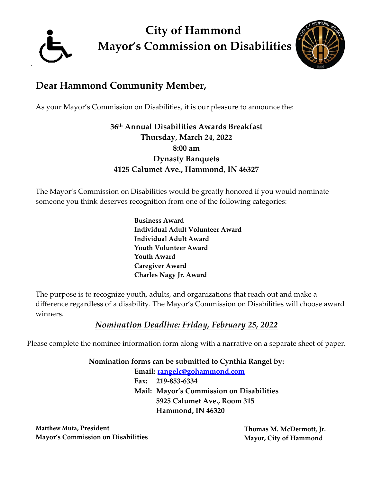

**City of Hammond Mayor's Commission on Disabilities**



# **Dear Hammond Community Member,**

As your Mayor's Commission on Disabilities, it is our pleasure to announce the:

**36 th Annual Disabilities Awards Breakfast Thursday, March 24, 2022 8:00 am Dynasty Banquets 4125 Calumet Ave., Hammond, IN 46327**

The Mayor's Commission on Disabilities would be greatly honored if you would nominate someone you think deserves recognition from one of the following categories:

> **Business Award Individual Adult Volunteer Award Individual Adult Award Youth Volunteer Award Youth Award Caregiver Award Charles Nagy Jr. Award**

The purpose is to recognize youth, adults, and organizations that reach out and make a difference regardless of a disability. The Mayor's Commission on Disabilities will choose award winners.

### *Nomination Deadline: Friday, February 25, 2022*

Please complete the nominee information form along with a narrative on a separate sheet of paper.

**Nomination forms can be submitted to Cynthia Rangel by:**

**Email: rangelc@gohammond.com Fax: 219-853-6334 Mail: Mayor's Commission on Disabilities 5925 Calumet Ave., Room 315 Hammond, IN 46320** 

**Matthew Muta**, President **Contains a Container and Science Thomas M. McDermott, Jr. Mayor's Commission on Disabilities Mayor, City of Hammond**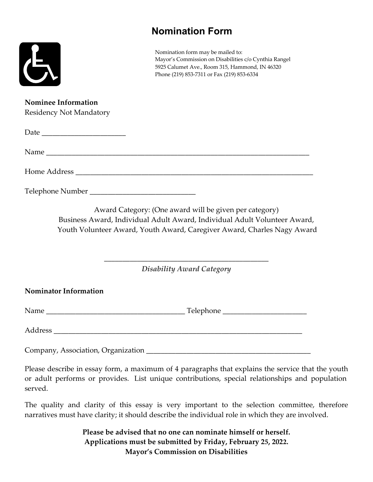## **Nomination Form**



Nomination form may be mailed to: Mayor's Commission on Disabilities c/o Cynthia Rangel 5925 Calumet Ave., Room 315, Hammond, IN 46320 Phone (219) 853-7311 or Fax (219) 853-6334

#### **Nominee Information**

| <b>Residency Not Mandatory</b> |                                                                                                                                                                                                                |
|--------------------------------|----------------------------------------------------------------------------------------------------------------------------------------------------------------------------------------------------------------|
|                                |                                                                                                                                                                                                                |
|                                |                                                                                                                                                                                                                |
|                                |                                                                                                                                                                                                                |
|                                |                                                                                                                                                                                                                |
|                                | Award Category: (One award will be given per category)<br>Business Award, Individual Adult Award, Individual Adult Volunteer Award,<br>Youth Volunteer Award, Youth Award, Caregiver Award, Charles Nagy Award |
|                                | <b>Disability Award Category</b>                                                                                                                                                                               |
| <b>Nominator Information</b>   |                                                                                                                                                                                                                |
|                                |                                                                                                                                                                                                                |
|                                |                                                                                                                                                                                                                |

Company, Association, Organization \_\_\_\_\_\_\_\_\_\_\_\_\_\_\_\_\_\_\_\_\_\_\_\_\_\_\_\_\_\_\_\_\_\_\_\_\_\_\_\_\_\_\_\_\_

Please describe in essay form, a maximum of 4 paragraphs that explains the service that the youth or adult performs or provides. List unique contributions, special relationships and population served.

The quality and clarity of this essay is very important to the selection committee, therefore narratives must have clarity; it should describe the individual role in which they are involved.

> **Please be advised that no one can nominate himself or herself. Applications must be submitted by Friday, February 25, 2022. Mayor's Commission on Disabilities**